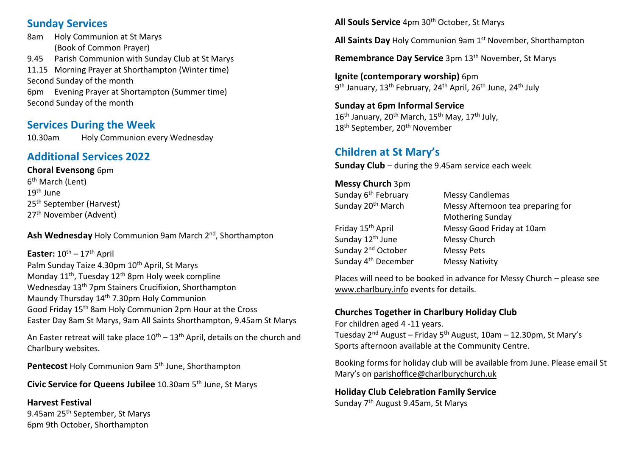#### **Sunday Services**

8am Holy Communion at St Marys (Book of Common Prayer) 9.45 Parish Communion with Sunday Club at St Marys 11.15 Morning Prayer at Shorthampton (Winter time) Second Sunday of the month 6pm Evening Prayer at Shortampton (Summer time) Second Sunday of the month

#### **Services During the Week**

10.30am Holy Communion every Wednesday

# **Additional Services 2022**

**Choral Evensong** 6pm 6<sup>th</sup> March (Lent) 19th June 25th September (Harvest) 27<sup>th</sup> November (Advent)

**Ash Wednesday** Holy Communion 9am March 2nd, Shorthampton

**Easter:** 10 th – 17th April Palm Sunday Taize 4.30pm 10<sup>th</sup> April, St Marys Monday 11th, Tuesday 12th 8pm Holy week compline Wednesday 13th 7pm Stainers Crucifixion, Shorthampton Maundy Thursday 14<sup>th</sup> 7.30pm Holy Communion Good Friday 15th 8am Holy Communion 2pm Hour at the Cross Easter Day 8am St Marys, 9am All Saints Shorthampton, 9.45am St Marys

An Easter retreat will take place  $10^{th} - 13^{th}$  April, details on the church and Charlbury websites.

**Pentecost** Holy Communion 9am 5<sup>th</sup> June, Shorthampton

**Civic Service for Queens Jubilee** 10.30am 5<sup>th</sup> June, St Marys

#### **Harvest Festival**  9.45am 25 th September, St Marys 6pm 9th October, Shorthampton

**All Souls Service** 4pm 30<sup>th</sup> October, St Marys

**All Saints Day** Holy Communion 9am 1<sup>st</sup> November, Shorthampton

Remembrance Day Service 3pm 13<sup>th</sup> November, St Marys

**Ignite (contemporary worship)** 6pm 9<sup>th</sup> January, 13<sup>th</sup> February, 24<sup>th</sup> April, 26<sup>th</sup> June, 24<sup>th</sup> July

### **Sunday at 6pm Informal Service**

16<sup>th</sup> January, 20<sup>th</sup> March, 15<sup>th</sup> May, 17<sup>th</sup> July, 18<sup>th</sup> September, 20<sup>th</sup> November

### **Children at St Mary's**

**Sunday Club** – during the 9.45am service each week

| <b>Messy Church 3pm</b>         |                                   |
|---------------------------------|-----------------------------------|
| Sunday 6 <sup>th</sup> February | <b>Messy Candlemas</b>            |
| Sunday 20 <sup>th</sup> March   | Messy Afternoon tea preparing for |
|                                 | <b>Mothering Sunday</b>           |

| Friday 15 <sup>th</sup> April   | Messy Good Friday at 10am |
|---------------------------------|---------------------------|
| Sunday 12 <sup>th</sup> June    | Messy Church              |
| Sunday 2 <sup>nd</sup> October  | <b>Messy Pets</b>         |
| Sunday 4 <sup>th</sup> December | <b>Messy Nativity</b>     |
|                                 |                           |

Places will need to be booked in advance for Messy Church – please see [www.charlbury.info](http://www.charlbury.info/) events for details.

#### **Churches Together in Charlbury Holiday Club**

For children aged 4 -11 years. Tuesday 2<sup>nd</sup> August – Friday 5<sup>th</sup> August, 10am – 12.30pm, St Mary's Sports afternoon available at the Community Centre.

Booking forms for holiday club will be available from June. Please email St Mary's on [parishoffice@charlburychurch.uk](mailto:parishoffice@charlburychurch.uk)

**Holiday Club Celebration Family Service** Sunday 7<sup>th</sup> August 9.45am, St Marys